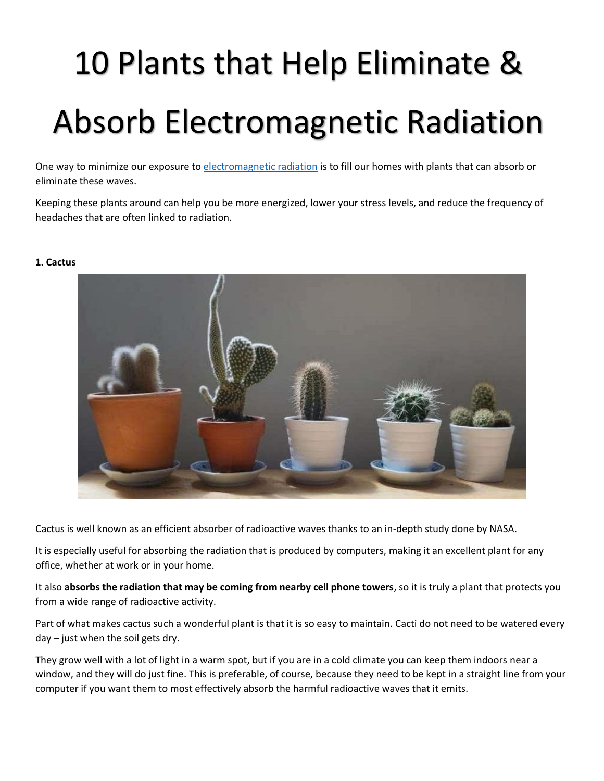# 10 Plants that Help Eliminate & Absorb Electromagnetic Radiation

One way to minimize our exposure to [electromagnetic radiation](https://en.wikipedia.org/wiki/Electromagnetic_radiation) is to fill our homes with plants that can absorb or eliminate these waves.

Keeping these plants around can help you be more energized, lower your stress levels, and reduce the frequency of headaches that are often linked to radiation.

## **1. Cactus**



Cactus is well known as an efficient absorber of radioactive waves thanks to an in-depth study done by NASA.

It is especially useful for absorbing the radiation that is produced by computers, making it an excellent plant for any office, whether at work or in your home.

It also **absorbs the radiation that may be coming from nearby cell phone towers**, so it is truly a plant that protects you from a wide range of radioactive activity.

Part of what makes cactus such a wonderful plant is that it is so easy to maintain. Cacti do not need to be watered every day – just when the soil gets dry.

They grow well with a lot of light in a warm spot, but if you are in a cold climate you can keep them indoors near a window, and they will do just fine. This is preferable, of course, because they need to be kept in a straight line from your computer if you want them to most effectively absorb the harmful radioactive waves that it emits.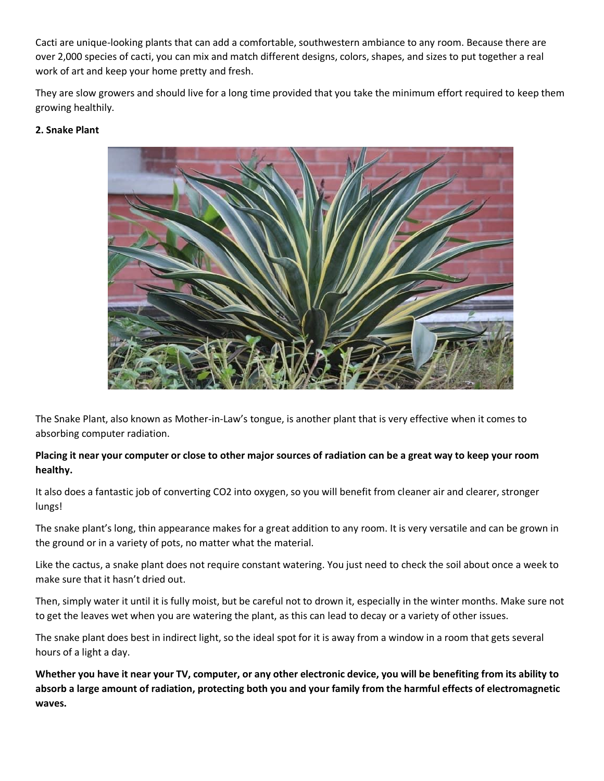Cacti are unique-looking plants that can add a comfortable, southwestern ambiance to any room. Because there are over 2,000 species of cacti, you can mix and match different designs, colors, shapes, and sizes to put together a real work of art and keep your home pretty and fresh.

They are slow growers and should live for a long time provided that you take the minimum effort required to keep them growing healthily.

# **2. Snake Plant**



The Snake Plant, also known as Mother-in-Law's tongue, is another plant that is very effective when it comes to absorbing computer radiation.

# **Placing it near your computer or close to other major sources of radiation can be a great way to keep your room healthy.**

It also does a fantastic job of converting CO2 into oxygen, so you will benefit from cleaner air and clearer, stronger lungs!

The snake plant's long, thin appearance makes for a great addition to any room. It is very versatile and can be grown in the ground or in a variety of pots, no matter what the material.

Like the cactus, a snake plant does not require constant watering. You just need to check the soil about once a week to make sure that it hasn't dried out.

Then, simply water it until it is fully moist, but be careful not to drown it, especially in the winter months. Make sure not to get the leaves wet when you are watering the plant, as this can lead to decay or a variety of other issues.

The snake plant does best in indirect light, so the ideal spot for it is away from a window in a room that gets several hours of a light a day.

**Whether you have it near your TV, computer, or any other electronic device, you will be benefiting from its ability to absorb a large amount of radiation, protecting both you and your family from the harmful effects of electromagnetic waves.**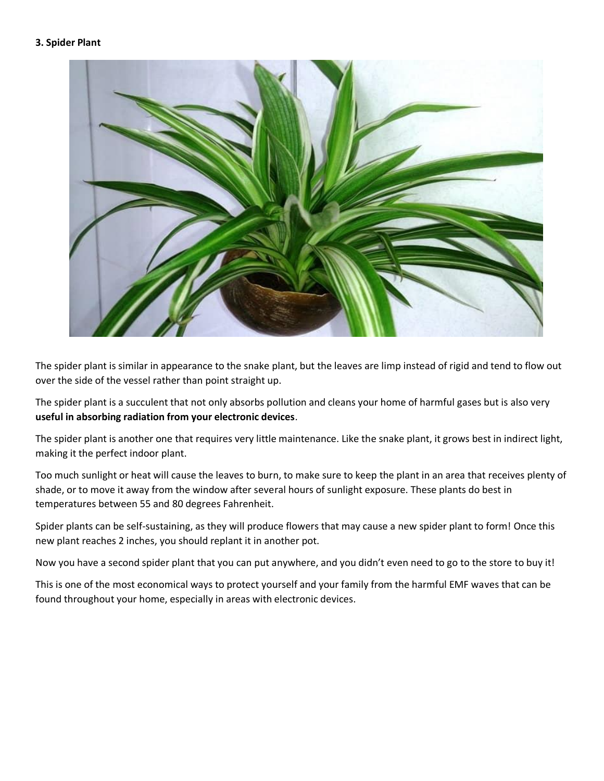#### **3. Spider Plant**



The spider plant is similar in appearance to the snake plant, but the leaves are limp instead of rigid and tend to flow out over the side of the vessel rather than point straight up.

The spider plant is a succulent that not only absorbs pollution and cleans your home of harmful gases but is also very **useful in absorbing radiation from your electronic devices**.

The spider plant is another one that requires very little maintenance. Like the snake plant, it grows best in indirect light, making it the perfect indoor plant.

Too much sunlight or heat will cause the leaves to burn, to make sure to keep the plant in an area that receives plenty of shade, or to move it away from the window after several hours of sunlight exposure. These plants do best in temperatures between 55 and 80 degrees Fahrenheit.

Spider plants can be self-sustaining, as they will produce flowers that may cause a new spider plant to form! Once this new plant reaches 2 inches, you should replant it in another pot.

Now you have a second spider plant that you can put anywhere, and you didn't even need to go to the store to buy it!

This is one of the most economical ways to protect yourself and your family from the harmful EMF waves that can be found throughout your home, especially in areas with electronic devices.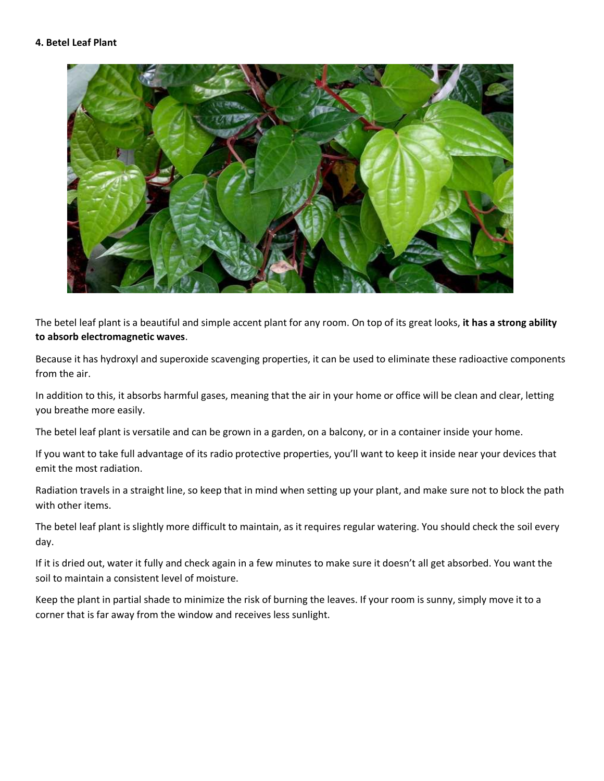

The betel leaf plant is a beautiful and simple accent plant for any room. On top of its great looks, **it has a strong ability to absorb electromagnetic waves**.

Because it has hydroxyl and superoxide scavenging properties, it can be used to eliminate these radioactive components from the air.

In addition to this, it absorbs harmful gases, meaning that the air in your home or office will be clean and clear, letting you breathe more easily.

The betel leaf plant is versatile and can be grown in a garden, on a balcony, or in a container inside your home.

If you want to take full advantage of its radio protective properties, you'll want to keep it inside near your devices that emit the most radiation.

Radiation travels in a straight line, so keep that in mind when setting up your plant, and make sure not to block the path with other items.

The betel leaf plant is slightly more difficult to maintain, as it requires regular watering. You should check the soil every day.

If it is dried out, water it fully and check again in a few minutes to make sure it doesn't all get absorbed. You want the soil to maintain a consistent level of moisture.

Keep the plant in partial shade to minimize the risk of burning the leaves. If your room is sunny, simply move it to a corner that is far away from the window and receives less sunlight.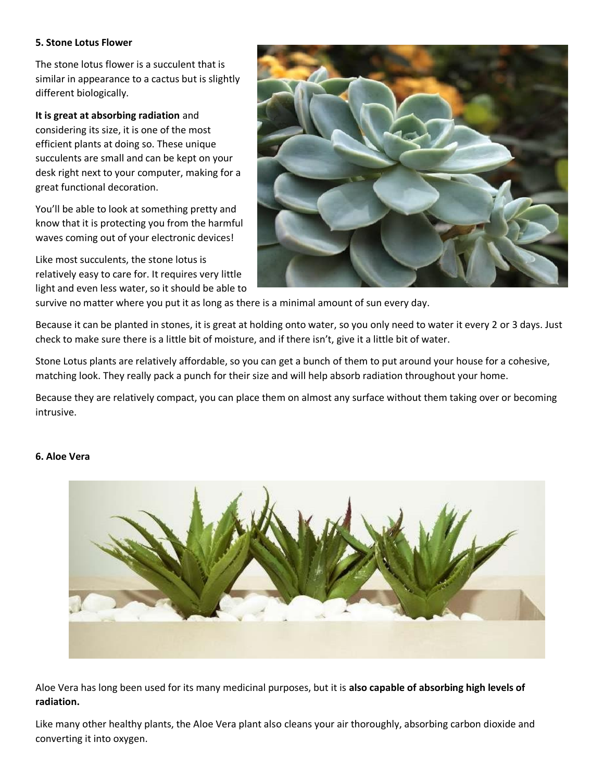#### **5. Stone Lotus Flower**

The stone lotus flower is a succulent that is similar in appearance to a cactus but is slightly different biologically.

#### **It is great at absorbing radiation** and

considering its size, it is one of the most efficient plants at doing so. These unique succulents are small and can be kept on your desk right next to your computer, making for a great functional decoration.

You'll be able to look at something pretty and know that it is protecting you from the harmful waves coming out of your electronic devices!

Like most succulents, the stone lotus is relatively easy to care for. It requires very little light and even less water, so it should be able to



survive no matter where you put it as long as there is a minimal amount of sun every day.

Because it can be planted in stones, it is great at holding onto water, so you only need to water it every 2 or 3 days. Just check to make sure there is a little bit of moisture, and if there isn't, give it a little bit of water.

Stone Lotus plants are relatively affordable, so you can get a bunch of them to put around your house for a cohesive, matching look. They really pack a punch for their size and will help absorb radiation throughout your home.

Because they are relatively compact, you can place them on almost any surface without them taking over or becoming intrusive.

## **6. Aloe Vera**



Aloe Vera has long been used for its many medicinal purposes, but it is **also capable of absorbing high levels of radiation.**

Like many other healthy plants, the Aloe Vera plant also cleans your air thoroughly, absorbing carbon dioxide and converting it into oxygen.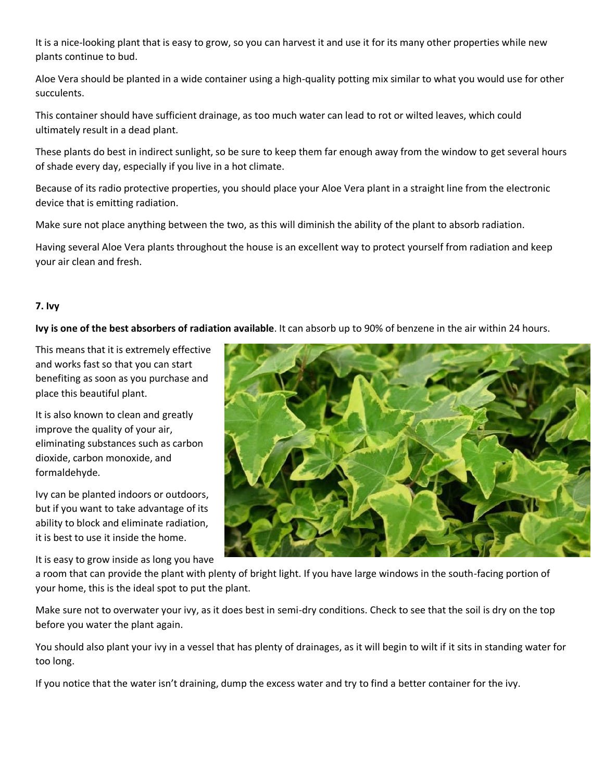It is a nice-looking plant that is easy to grow, so you can harvest it and use it for its many other properties while new plants continue to bud.

Aloe Vera should be planted in a wide container using a high-quality potting mix similar to what you would use for other succulents.

This container should have sufficient drainage, as too much water can lead to rot or wilted leaves, which could ultimately result in a dead plant.

These plants do best in indirect sunlight, so be sure to keep them far enough away from the window to get several hours of shade every day, especially if you live in a hot climate.

Because of its radio protective properties, you should place your Aloe Vera plant in a straight line from the electronic device that is emitting radiation.

Make sure not place anything between the two, as this will diminish the ability of the plant to absorb radiation.

Having several Aloe Vera plants throughout the house is an excellent way to protect yourself from radiation and keep your air clean and fresh.

# **7. Ivy**

**Ivy is one of the best absorbers of radiation available**. It can absorb up to 90% of benzene in the air within 24 hours.

This means that it is extremely effective and works fast so that you can start benefiting as soon as you purchase and place this beautiful plant.

It is also known to clean and greatly improve the quality of your air, eliminating substances such as carbon dioxide, carbon monoxide, and formaldehyde.

Ivy can be planted indoors or outdoors, but if you want to take advantage of its ability to block and eliminate radiation, it is best to use it inside the home.

It is easy to grow inside as long you have



a room that can provide the plant with plenty of bright light. If you have large windows in the south-facing portion of your home, this is the ideal spot to put the plant.

Make sure not to overwater your ivy, as it does best in semi-dry conditions. Check to see that the soil is dry on the top before you water the plant again.

You should also plant your ivy in a vessel that has plenty of drainages, as it will begin to wilt if it sits in standing water for too long.

If you notice that the water isn't draining, dump the excess water and try to find a better container for the ivy.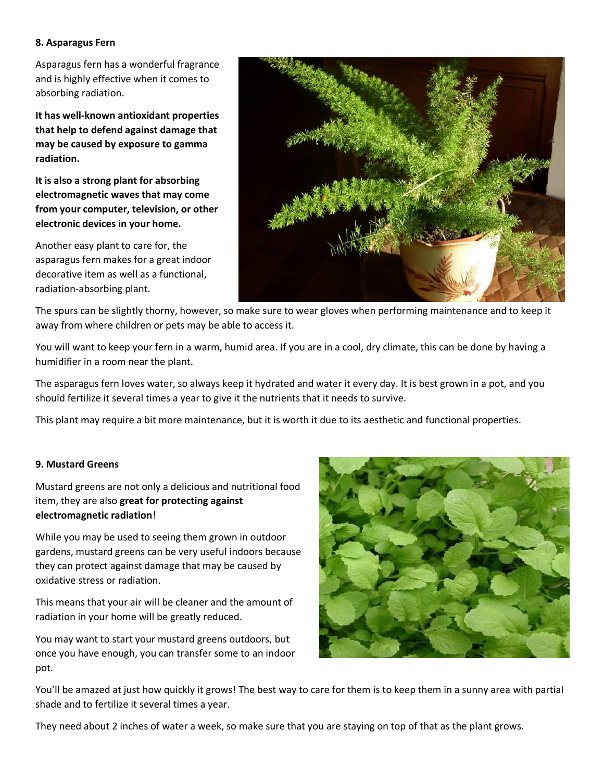#### **8. Asparagus Fern**

Asparagus fern has a wonderful fragrance and is highly effective when it comes to absorbing radiation.

**It has well-known antioxidant properties that help to defend against damage that may be caused by exposure to gamma radiation.**

**It is also a strong plant for absorbing electromagnetic waves that may come from your computer, television, or other electronic devices in your home.**

Another easy plant to care for, the asparagus fern makes for a great indoor decorative item as well as a functional, radiation-absorbing plant.



The spurs can be slightly thorny, however, so make sure to wear gloves when performing maintenance and to keep it away from where children or pets may be able to access it.

You will want to keep your fern in a warm, humid area. If you are in a cool, dry climate, this can be done by having a humidifier in a room near the plant.

The asparagus fern loves water, so always keep it hydrated and water it every day. It is best grown in a pot, and you should fertilize it several times a year to give it the nutrients that it needs to survive.

This plant may require a bit more maintenance, but it is worth it due to its aesthetic and functional properties.

## **9. Mustard Greens**

Mustard greens are not only a delicious and nutritional food item, they are also **great for protecting against electromagnetic radiation**!

While you may be used to seeing them grown in outdoor gardens, mustard greens can be very useful indoors because they can protect against damage that may be caused by oxidative stress or radiation.

This means that your air will be cleaner and the amount of radiation in your home will be greatly reduced.

You may want to start your mustard greens outdoors, but once you have enough, you can transfer some to an indoor pot.



You'll be amazed at just how quickly it grows! The best way to care for them is to keep them in a sunny area with partial shade and to fertilize it several times a year.

They need about 2 inches of water a week, so make sure that you are staying on top of that as the plant grows.